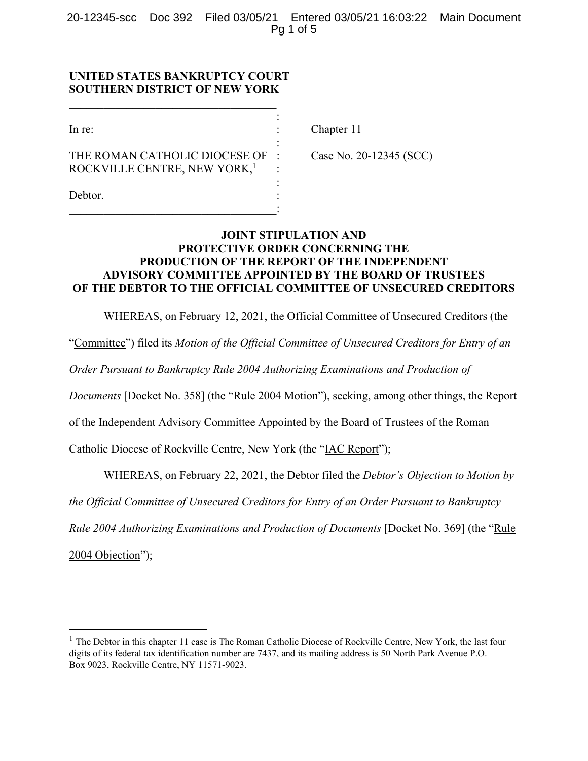20-12345-scc Doc 392 Filed 03/05/21 Entered 03/05/21 16:03:22 Main Document Pg 1 of 5

## **UNITED STATES BANKRUPTCY COURT SOUTHERN DISTRICT OF NEW YORK**

| In re:                                   |  |
|------------------------------------------|--|
|                                          |  |
| THE ROMAN CATHOLIC DIOCESE OF            |  |
| ROCKVILLE CENTRE, NEW YORK, <sup>1</sup> |  |
|                                          |  |
| Debtor.                                  |  |
|                                          |  |

Chapter 11

Case No. 20-12345 (SCC)

# **JOINT STIPULATION AND PROTECTIVE ORDER CONCERNING THE PRODUCTION OF THE REPORT OF THE INDEPENDENT ADVISORY COMMITTEE APPOINTED BY THE BOARD OF TRUSTEES OF THE DEBTOR TO THE OFFICIAL COMMITTEE OF UNSECURED CREDITORS**

WHEREAS, on February 12, 2021, the Official Committee of Unsecured Creditors (the

"Committee") filed its *Motion of the Official Committee of Unsecured Creditors for Entry of an* 

*Order Pursuant to Bankruptcy Rule 2004 Authorizing Examinations and Production of* 

*Documents* [Docket No. 358] (the "Rule 2004 Motion"), seeking, among other things, the Report

of the Independent Advisory Committee Appointed by the Board of Trustees of the Roman

Catholic Diocese of Rockville Centre, New York (the "IAC Report");

WHEREAS, on February 22, 2021, the Debtor filed the *Debtor's Objection to Motion by* 

*the Official Committee of Unsecured Creditors for Entry of an Order Pursuant to Bankruptcy* 

*Rule 2004 Authorizing Examinations and Production of Documents* [Docket No. 369] (the "Rule

2004 Objection");

<sup>&</sup>lt;sup>1</sup> The Debtor in this chapter 11 case is The Roman Catholic Diocese of Rockville Centre, New York, the last four digits of its federal tax identification number are 7437, and its mailing address is 50 North Park Avenue P.O. Box 9023, Rockville Centre, NY 11571-9023.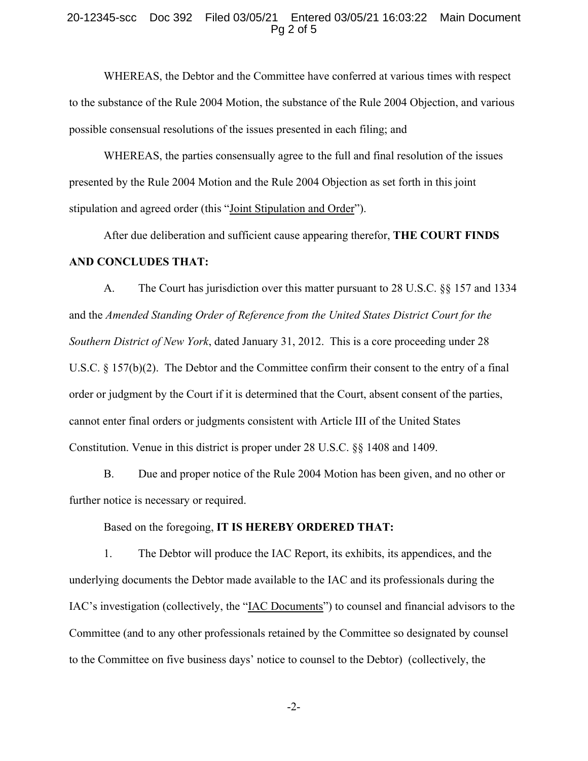#### 20-12345-scc Doc 392 Filed 03/05/21 Entered 03/05/21 16:03:22 Main Document Pg 2 of 5

WHEREAS, the Debtor and the Committee have conferred at various times with respect to the substance of the Rule 2004 Motion, the substance of the Rule 2004 Objection, and various possible consensual resolutions of the issues presented in each filing; and

WHEREAS, the parties consensually agree to the full and final resolution of the issues presented by the Rule 2004 Motion and the Rule 2004 Objection as set forth in this joint stipulation and agreed order (this "Joint Stipulation and Order").

After due deliberation and sufficient cause appearing therefor, **THE COURT FINDS AND CONCLUDES THAT:**

A. The Court has jurisdiction over this matter pursuant to 28 U.S.C. §§ 157 and 1334 and the *Amended Standing Order of Reference from the United States District Court for the Southern District of New York*, dated January 31, 2012. This is a core proceeding under 28 U.S.C. § 157(b)(2). The Debtor and the Committee confirm their consent to the entry of a final order or judgment by the Court if it is determined that the Court, absent consent of the parties, cannot enter final orders or judgments consistent with Article III of the United States Constitution. Venue in this district is proper under 28 U.S.C. §§ 1408 and 1409.

B. Due and proper notice of the Rule 2004 Motion has been given, and no other or further notice is necessary or required.

Based on the foregoing, **IT IS HEREBY ORDERED THAT:**

1. The Debtor will produce the IAC Report, its exhibits, its appendices, and the underlying documents the Debtor made available to the IAC and its professionals during the IAC's investigation (collectively, the "IAC Documents") to counsel and financial advisors to the Committee (and to any other professionals retained by the Committee so designated by counsel to the Committee on five business days' notice to counsel to the Debtor) (collectively, the

-2-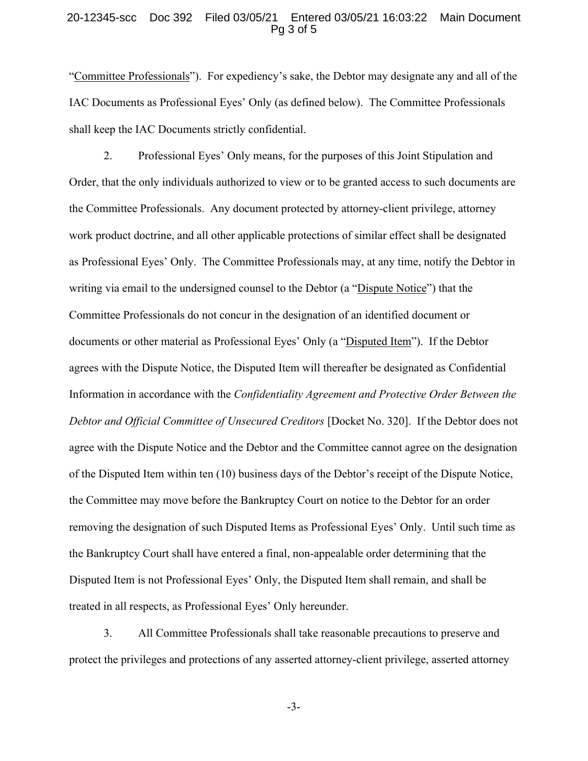#### 20-12345-scc Doc 392 Filed 03/05/21 Entered 03/05/21 16:03:22 Main Document Pg 3 of 5

"Committee Professionals"). For expediency's sake, the Debtor may designate any and all of the IAC Documents as Professional Eyes' Only (as defined below). The Committee Professionals shall keep the IAC Documents strictly confidential.

2. Professional Eyes' Only means, for the purposes of this Joint Stipulation and Order, that the only individuals authorized to view or to be granted access to such documents are the Committee Professionals. Any document protected by attorney-client privilege, attorney work product doctrine, and all other applicable protections of similar effect shall be designated as Professional Eyes' Only. The Committee Professionals may, at any time, notify the Debtor in writing via email to the undersigned counsel to the Debtor (a "Dispute Notice") that the Committee Professionals do not concur in the designation of an identified document or documents or other material as Professional Eyes' Only (a "Disputed Item"). If the Debtor agrees with the Dispute Notice, the Disputed Item will thereafter be designated as Confidential Information in accordance with the *Confidentiality Agreement and Protective Order Between the Debtor and Official Committee of Unsecured Creditors* [Docket No. 320]. If the Debtor does not agree with the Dispute Notice and the Debtor and the Committee cannot agree on the designation of the Disputed Item within ten (10) business days of the Debtor's receipt of the Dispute Notice, the Committee may move before the Bankruptcy Court on notice to the Debtor for an order removing the designation of such Disputed Items as Professional Eyes' Only. Until such time as the Bankruptcy Court shall have entered a final, non-appealable order determining that the Disputed Item is not Professional Eyes' Only, the Disputed Item shall remain, and shall be treated in all respects, as Professional Eyes' Only hereunder.

3. All Committee Professionals shall take reasonable precautions to preserve and protect the privileges and protections of any asserted attorney-client privilege, asserted attorney

-3-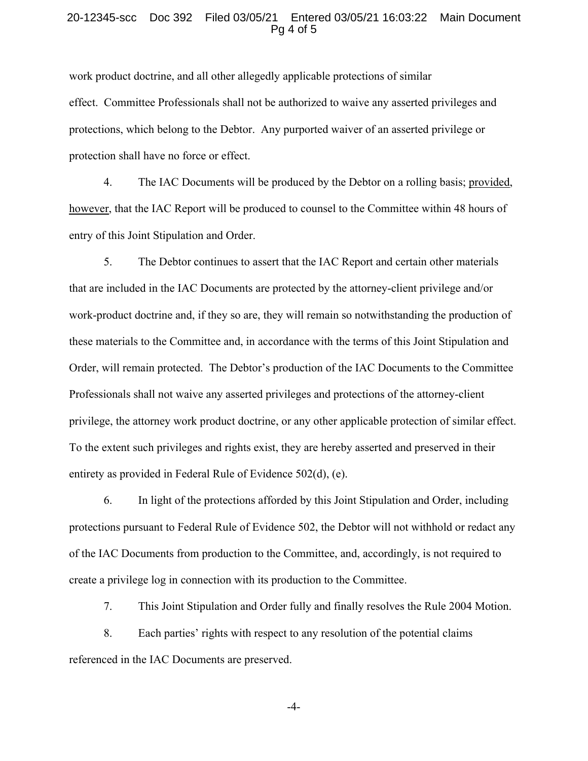#### 20-12345-scc Doc 392 Filed 03/05/21 Entered 03/05/21 16:03:22 Main Document Pg 4 of 5

work product doctrine, and all other allegedly applicable protections of similar effect. Committee Professionals shall not be authorized to waive any asserted privileges and protections, which belong to the Debtor. Any purported waiver of an asserted privilege or protection shall have no force or effect.

4. The IAC Documents will be produced by the Debtor on a rolling basis; provided, however, that the IAC Report will be produced to counsel to the Committee within 48 hours of entry of this Joint Stipulation and Order.

5. The Debtor continues to assert that the IAC Report and certain other materials that are included in the IAC Documents are protected by the attorney-client privilege and/or work-product doctrine and, if they so are, they will remain so notwithstanding the production of these materials to the Committee and, in accordance with the terms of this Joint Stipulation and Order, will remain protected. The Debtor's production of the IAC Documents to the Committee Professionals shall not waive any asserted privileges and protections of the attorney-client privilege, the attorney work product doctrine, or any other applicable protection of similar effect. To the extent such privileges and rights exist, they are hereby asserted and preserved in their entirety as provided in Federal Rule of Evidence 502(d), (e).

6. In light of the protections afforded by this Joint Stipulation and Order, including protections pursuant to Federal Rule of Evidence 502, the Debtor will not withhold or redact any of the IAC Documents from production to the Committee, and, accordingly, is not required to create a privilege log in connection with its production to the Committee.

7. This Joint Stipulation and Order fully and finally resolves the Rule 2004 Motion.

8. Each parties' rights with respect to any resolution of the potential claims referenced in the IAC Documents are preserved.

-4-